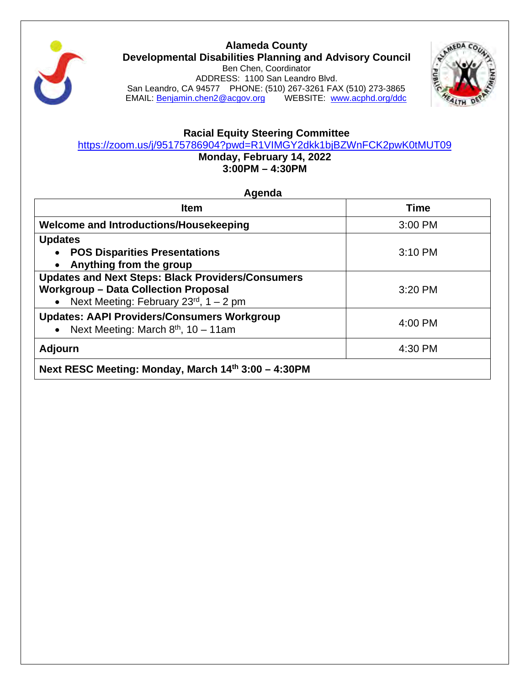

**Alameda County Developmental Disabilities Planning and Advisory Council** Ben Chen, Coordinator ADDRESS: 1100 San Leandro Blvd. San Leandro, CA 94577 PHONE: (510) 267-3261 FAX (510) 273-3865 EMAIL: [Benjamin.chen2@acgov.org](mailto:Benjamin.chen2@acgov.org) WEBSITE: [www.acphd.org/ddc](http://www.acphd.org/ddc)



# **Racial Equity Steering Committee**

https://zoom.us/j/95175786904?pwd=R1VIMGY2dkk1bjBZWnFCK2pwK0tMUT09

**Monday, February 14, 2022 3:00PM – 4:30PM**

**Agenda**

| <b>Item</b>                                                                                                                                              | <b>Time</b> |
|----------------------------------------------------------------------------------------------------------------------------------------------------------|-------------|
| Welcome and Introductions/Housekeeping                                                                                                                   | 3:00 PM     |
| <b>Updates</b><br><b>POS Disparities Presentations</b><br>Anything from the group<br>$\bullet$                                                           | 3:10 PM     |
| <b>Updates and Next Steps: Black Providers/Consumers</b><br><b>Workgroup - Data Collection Proposal</b><br>• Next Meeting: February $23^{rd}$ , 1 – 2 pm | 3:20 PM     |
| <b>Updates: AAPI Providers/Consumers Workgroup</b><br>• Next Meeting: March $8th$ , 10 – 11am                                                            | 4:00 PM     |
| <b>Adjourn</b>                                                                                                                                           | 4:30 PM     |
| Next RESC Meeting: Monday, March 14th 3:00 - 4:30PM                                                                                                      |             |